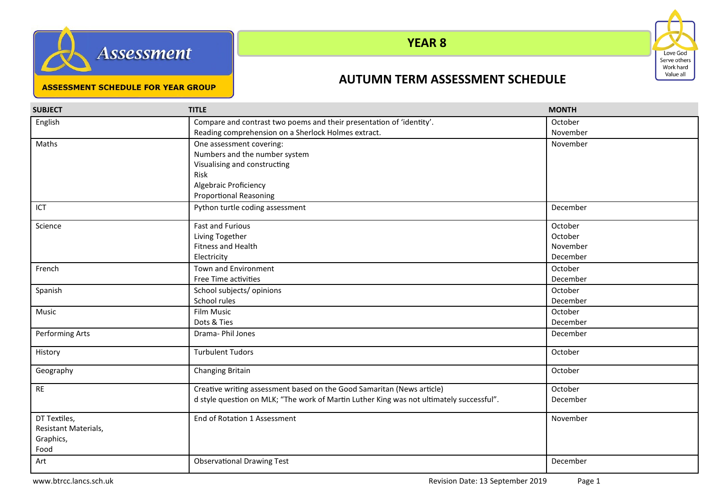



# **YEAR 8**

#### **ASSESSMENT SCHEDULE FOR YEAR GROUP**

### **AUTUMN TERM ASSESSMENT SCHEDULE**

| <b>SUBJECT</b>       | <b>TITLE</b>                                                                             | <b>MONTH</b> |
|----------------------|------------------------------------------------------------------------------------------|--------------|
| English              | Compare and contrast two poems and their presentation of 'identity'.                     | October      |
|                      | Reading comprehension on a Sherlock Holmes extract.                                      | November     |
| Maths                | One assessment covering:                                                                 | November     |
|                      | Numbers and the number system                                                            |              |
|                      | Visualising and constructing                                                             |              |
|                      | Risk                                                                                     |              |
|                      | Algebraic Proficiency                                                                    |              |
|                      | <b>Proportional Reasoning</b>                                                            |              |
| ICT                  | Python turtle coding assessment                                                          | December     |
| Science              | <b>Fast and Furious</b>                                                                  | October      |
|                      | Living Together                                                                          | October      |
|                      | <b>Fitness and Health</b>                                                                | November     |
|                      | Electricity                                                                              | December     |
| French               | <b>Town and Environment</b>                                                              | October      |
|                      | Free Time activities                                                                     | December     |
| Spanish              | School subjects/opinions                                                                 | October      |
|                      | School rules                                                                             | December     |
| Music                | Film Music                                                                               | October      |
|                      | Dots & Ties                                                                              | December     |
| Performing Arts      | Drama- Phil Jones                                                                        | December     |
| History              | <b>Turbulent Tudors</b>                                                                  | October      |
| Geography            | Changing Britain                                                                         | October      |
| $\sf RE$             | Creative writing assessment based on the Good Samaritan (News article)                   | October      |
|                      | d style question on MLK; "The work of Martin Luther King was not ultimately successful". | December     |
| DT Textiles,         | End of Rotation 1 Assessment                                                             | November     |
| Resistant Materials, |                                                                                          |              |
| Graphics,            |                                                                                          |              |
| Food                 |                                                                                          |              |
| Art                  | <b>Observational Drawing Test</b>                                                        | December     |
|                      |                                                                                          |              |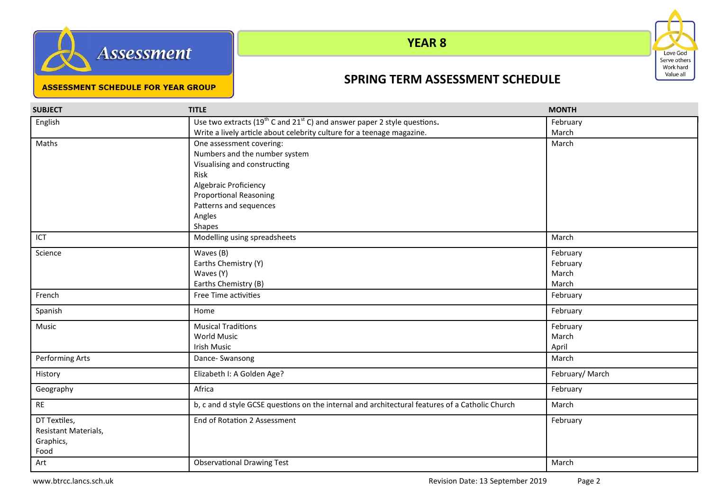



## **YEAR 8**

#### **ASSESSMENT SCHEDULE FOR YEAR GROUP**

## **SPRING TERM ASSESSMENT SCHEDULE**

| <b>SUBJECT</b>       | <b>TITLE</b>                                                                                     | <b>MONTH</b>   |
|----------------------|--------------------------------------------------------------------------------------------------|----------------|
| English              | Use two extracts (19 <sup>th</sup> C and 21 <sup>st</sup> C) and answer paper 2 style questions. | February       |
|                      | Write a lively article about celebrity culture for a teenage magazine.                           | March          |
| Maths                | One assessment covering:                                                                         | March          |
|                      | Numbers and the number system                                                                    |                |
|                      | Visualising and constructing                                                                     |                |
|                      | Risk                                                                                             |                |
|                      | Algebraic Proficiency                                                                            |                |
|                      | <b>Proportional Reasoning</b>                                                                    |                |
|                      | Patterns and sequences                                                                           |                |
|                      | Angles                                                                                           |                |
|                      | Shapes                                                                                           |                |
| ICT                  | Modelling using spreadsheets                                                                     | March          |
| Science              | Waves (B)                                                                                        | February       |
|                      | Earths Chemistry (Y)                                                                             | February       |
|                      | Waves (Y)                                                                                        | March          |
|                      | Earths Chemistry (B)                                                                             | March          |
| French               | Free Time activities                                                                             | February       |
| Spanish              | Home                                                                                             | February       |
| Music                | <b>Musical Traditions</b>                                                                        | February       |
|                      | <b>World Music</b>                                                                               | March          |
|                      | Irish Music                                                                                      | April          |
| Performing Arts      | Dance- Swansong                                                                                  | March          |
| History              | Elizabeth I: A Golden Age?                                                                       | February/March |
| Geography            | Africa                                                                                           | February       |
| <b>RE</b>            | b, c and d style GCSE questions on the internal and architectural features of a Catholic Church  | March          |
| DT Textiles,         | End of Rotation 2 Assessment                                                                     | February       |
| Resistant Materials, |                                                                                                  |                |
| Graphics,            |                                                                                                  |                |
| Food                 |                                                                                                  |                |
| Art                  | <b>Observational Drawing Test</b>                                                                | March          |